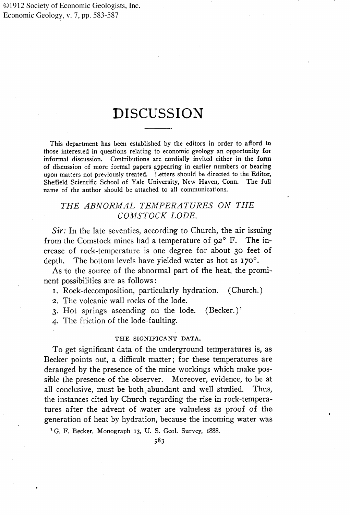©1912 Society of Economic Geologists, Inc. Economic Geology, v. 7, pp. 583-587

# **DISCUSSION**

**This department has been established by the editors in order to afford to those interested in questions relating to economic geology an opportunity for informal discussion. Contributions are cordially invited either in the form of discussion of more formal papers appearing in earlier numbers or bearing upon matters not previously treated. Letters should be directed to the Editor, Sheffield Scientific School of Yale University, New Haven, Conn. The full name of the author should be attached to all communications.** 

# THE ABNORMAL TEMPERATURES ON THE **COMSTOCK LODE.**

**Sir:** In the late seventies, according to Church, the air issuing from the Comstock mines had a temperature of  $92^{\circ}$  F. The increase of rock-temperature is one degree for about 30 feet of depth. The bottom levels have yielded water as hot as 170<sup>°</sup>.

**As to the source of the abnormal part of the heat, the prominent possibilities are as follows:** 

**x. Rock-decomposition, particularly hydration. (Church.)** 

**2. The volcanic wall rocks of the lode.** 

**3. Hot springs ascending on the lode. (Becker.) •** 

**4. The friction of the lode-faulting.** 

### THE SIGNIFICANT DATA.

**To get significant data of the underground temperatures is, as Becker points out, a difficult matter; for these temperatures are deranged by the presence of the mine workings which make pos**sible the presence of the observer. Moreover, evidence, to be at all conclusive, must be both abundant and well studied. Thus, all conclusive, must be both abundant and well studied. **the instances cited by Church regarding the rise in rock-tempera**tures after the advent of water are valueless as proof of the **generation of heat by hydration, because the incoming water was** 

<sup>1</sup> G. F. Becker, Monograph 13, U. S. Geol. Survey, 1888.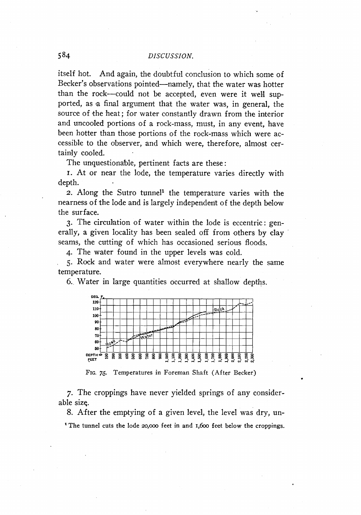**itself hot. And again, the doubtful conclusion to which some of**  Becker's observations pointed—namely, that the water was hotter than the rock--could not be accepted, even were it well supported, as a final argument that the water was, in general, the source of the heat; for water constantly drawn from the interior **and uncooled portions of a rock-mass, must, in any event, have been hotter than those portions of the rock-mass which were accessible to the observer, and which were, therefore, almost cer**tainly cooled.

The unquestionable, pertinent facts are these:

**I. At or near the lode, the temperature varies directly with depth.** 

**2.** Along the Sutro tunnel<sup>1</sup> the temperature varies with the nearness of the lode and is largely independent of the depth below **the surface.** 

**3- The circulation of water within the lode is eccentric: gen**erally, a given locality has been sealed off from others by clay **seams, the cutting of which has occasioned serious floods.** 

**4- The water found in the upper levels was cold.** 

**5. Rock and water were almost everywhere nearly the same temperature.** 

**6.. Wa'ter in la'rge quantities occurred at shallow depths.** 



**Fro. 76. Temperatures in Foreman Shaft (After Becker)** 

**7- The croppings have never yielded springs of any considerable size.** 

**8. After the emptying of a given level, the level was dry, un-**  <sup>1</sup> The tunnel cuts the lode 20,000 feet in and 1,600 feet below the croppings.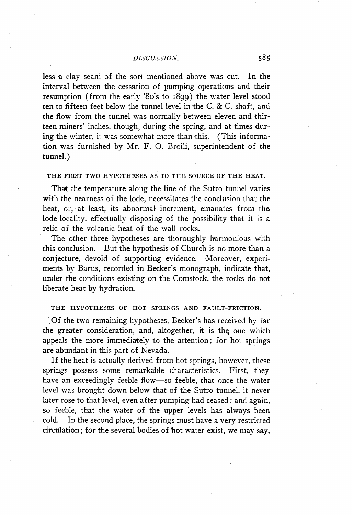less a clay seam of the sort mentioned above was cut. In the **interval between the cessation of pumping operations and their** resumption (from the early '8o's to 1899) the water level stood **ten to fifteen feet below the tunnel level in the C. & C. shaft, and** the flow from the tunnel was normally between eleven and thir**teen miners' inches, though, during the spring, and at times dur**ing the winter, it was somewhat more than this. (This informa**tion was furnished by Mr. F. O. Broili, superintendent of the tunnel.)** 

#### **THE FIRST TWO HYPOTHESES AS TO THE SOURCE OF THE HEAT.**

That the temperature along the line of the Sutro tunnel varies with the nearness of the lode, necessitates the conclusion that the heat, or, at least, its abnormal increment, emanates from the **lode-locality, effectually disposing of the possibility that it is a relic of the volcanic heat of the wall rocks.** 

The other three hypotheses are thoroughly harmonious with this conclusion. But the hypothesis of Church is no more than a **conjecture, devoid of supporting evidence. Moreover, experiments by Barus, recorded. in Becker's monograph, indicate that,**  under the conditions existing on the Comstock, the rocks do not **liberate heat by hydration.** 

#### **THE HYPOTHESES OF HOT SPRINGS AND FAULT-FRICTION.**

**'Of the two remaining hypotheses, Becker's has received by far**  the greater-consideration, and, altogether, it is the one which appeals the more immediately to the attention; for hot springs are abundant in this part of Nevada.

**If the heat is actually derived from hot springs, however, these**  springs possess some remarkable characteristics. First, they **have an exceedingly feeble flow--so feeble, that once the water level was brought down below that of the Sutro tunnel, it never**  later rose to that level, even after pumping had ceased: and again, **so feeble, that the water of the upper levels has always been**  cold. In the second place, the springs must have a very restricted **circulation; for the several bodies of hot water exist, we may say,**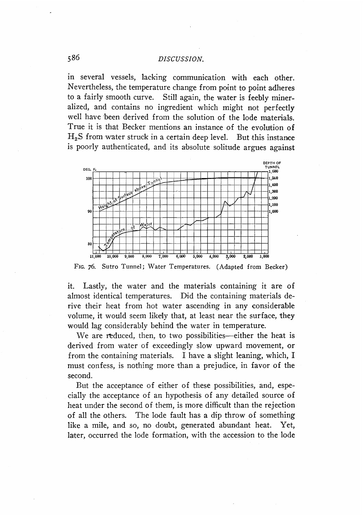**in several vessels, lacking communication with each other.**  Nevertheless, the temperature change from point to point adheres to a fairly smooth curve. Still again, the water is feebly miner-Still again, the water is feebly miner**alized, and contains no ingredient which might not perfectly well have 'been derived from the solution of the lode materials. True it is that Becker mentions an instance of the evolmion of**   $H_2$ S from water struck in a certain deep level. But this instance is poorly authenticated, and its absolute solitude argues against



**Fro. 76. Sutro Tunnel; Water Temperatures. (Adapted from Becker)** 

it. Lastly, the water and the materials containing it are of **almost identical temperatures. Did the containing materials derive their heat from hot water ascending in any considerable**  volume, it would seem likely that, at least near the surface, they would lag considerably behind the water in temperature.

We are reduced, then, to two possibilities—either the heat is **derived from water of exceedingly slow upward movement, or**  from the containing materials. I have a slight leaning, which, I **must confess, is nothing more 'than a prejudice, in favor of the second.** 

But the acceptance of either of these possibilities, and, espe**cially the acceptance of an hypothesis of any detailed source of heat under the second of them, is more difficult than the rejection of all the others. The lode fault has a dip throw of something like a mile, and so, no doubt, generated abundant heat. Yet, later, occurred the lode formation, with the accession to the lode**